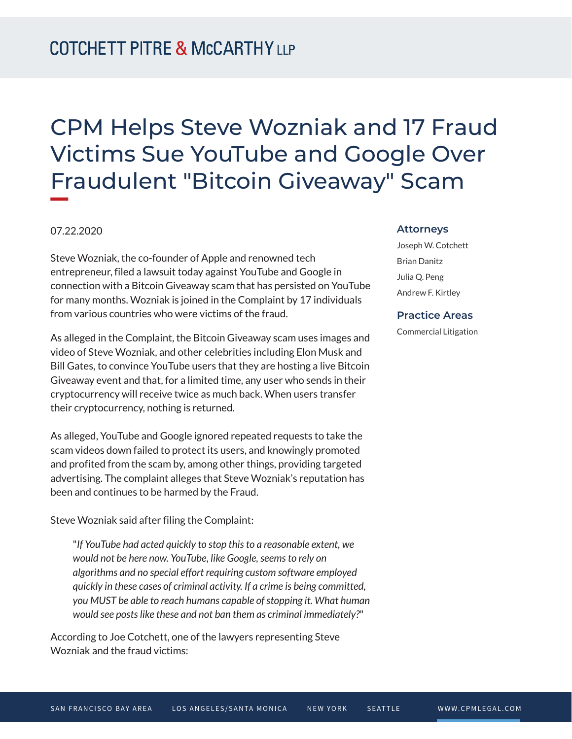# CPM Helps Steve Wozniak and 17 Fraud Victims Sue YouTube and Google Over Fraudulent "Bitcoin Giveaway" Scam

## 07.22.2020

Steve Wozniak, the co-founder of Apple and renowned tech entrepreneur, filed a lawsuit today against YouTube and Google in connection with a Bitcoin Giveaway scam that has persisted on YouTube for many months. Wozniak is joined in the Complaint by 17 individuals from various countries who were victims of the fraud.

As alleged in the Complaint, the Bitcoin Giveaway scam uses images and video of Steve Wozniak, and other celebrities including Elon Musk and Bill Gates, to convince YouTube users that they are hosting a live Bitcoin Giveaway event and that, for a limited time, any user who sends in their cryptocurrency will receive twice as much back. When users transfer their cryptocurrency, nothing is returned.

As alleged, YouTube and Google ignored repeated requests to take the scam videos down failed to protect its users, and knowingly promoted and profited from the scam by, among other things, providing targeted advertising. The complaint alleges that Steve Wozniak's reputation has been and continues to be harmed by the Fraud.

Steve Wozniak said after filing the Complaint:

"*If YouTube had acted quickly to stop this to a reasonable extent, we would not be here now. YouTube, like Google, seems to rely on algorithms and no special effort requiring custom software employed quickly in these cases of criminal activity. If a crime is being committed, you MUST be able to reach humans capable of stopping it. What human would see posts like these and not ban them as criminal immediately?*"

According to Joe Cotchett, one of the lawyers representing Steve Wozniak and the fraud victims:

#### **Attorneys**

Joseph W. Cotchett Brian Danitz Julia Q. Peng Andrew F. Kirtley

### **Practice Areas**

Commercial Litigation